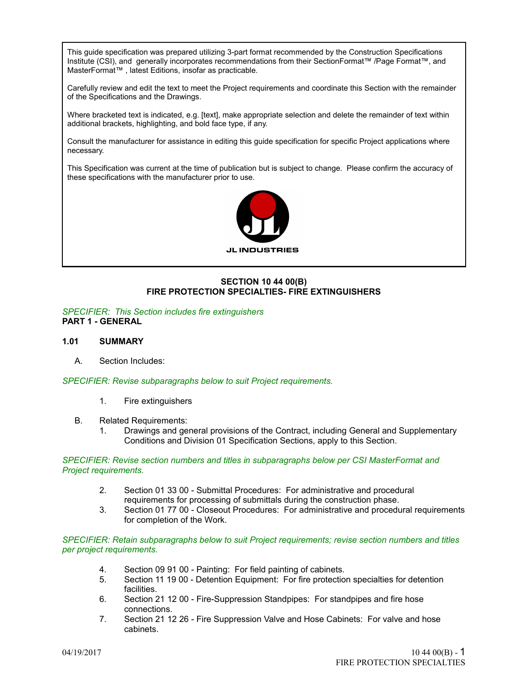This guide specification was prepared utilizing 3-part format recommended by the Construction Specifications Institute (CSI), and generally incorporates recommendations from their SectionFormat™ /Page Format™, and MasterFormat™ , latest Editions, insofar as practicable.

Carefully review and edit the text to meet the Project requirements and coordinate this Section with the remainder of the Specifications and the Drawings.

Where bracketed text is indicated, e.g. [text], make appropriate selection and delete the remainder of text within additional brackets, highlighting, and bold face type, if any.

Consult the manufacturer for assistance in editing this guide specification for specific Project applications where necessary.

This Specification was current at the time of publication but is subject to change. Please confirm the accuracy of these specifications with the manufacturer prior to use.



# **SECTION 10 44 00(B) FIRE PROTECTION SPECIALTIES- FIRE EXTINGUISHERS**

*SPECIFIER: This Section includes fire extinguishers* **PART 1 - GENERAL**

### **1.01 SUMMARY**

A. Section Includes:

*SPECIFIER: Revise subparagraphs below to suit Project requirements.*

- 1. Fire extinguishers
- B. Related Requirements:
	- 1. Drawings and general provisions of the Contract, including General and Supplementary Conditions and Division 01 Specification Sections, apply to this Section.

#### *SPECIFIER: Revise section numbers and titles in subparagraphs below per CSI MasterFormat and Project requirements.*

- 2. Section 01 33 00 Submittal Procedures: For administrative and procedural requirements for processing of submittals during the construction phase.
- 3. Section 01 77 00 Closeout Procedures: For administrative and procedural requirements for completion of the Work.

*SPECIFIER: Retain subparagraphs below to suit Project requirements; revise section numbers and titles per project requirements.*

- 4. Section 09 91 00 Painting: For field painting of cabinets.
- 5. Section 11 19 00 Detention Equipment: For fire protection specialties for detention facilities.
- 6. Section 21 12 00 Fire-Suppression Standpipes: For standpipes and fire hose connections.
- 7. Section 21 12 26 Fire Suppression Valve and Hose Cabinets: For valve and hose cabinets.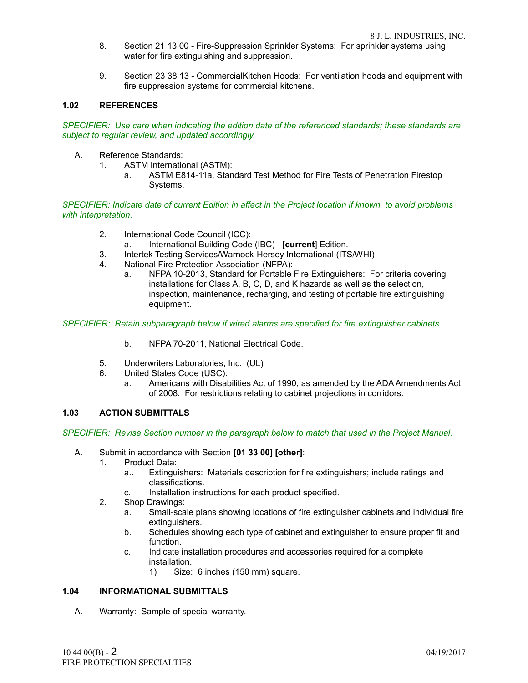- 8. Section 21 13 00 Fire-Suppression Sprinkler Systems: For sprinkler systems using water for fire extinguishing and suppression.
- 9. Section 23 38 13 CommercialKitchen Hoods: For ventilation hoods and equipment with fire suppression systems for commercial kitchens.

## **1.02 REFERENCES**

*SPECIFIER: Use care when indicating the edition date of the referenced standards; these standards are subject to regular review, and updated accordingly.*

- A. Reference Standards:<br>1. ASTM Internation
	- ASTM International (ASTM):
		- a. ASTM E814-11a, Standard Test Method for Fire Tests of Penetration Firestop Systems.

*SPECIFIER: Indicate date of current Edition in affect in the Project location if known, to avoid problems with interpretation.*

- 2. International Code Council (ICC):
	- a. International Building Code (IBC) [**current**] Edition.
- 3. Intertek Testing Services/Warnock-Hersey International (ITS/WHI)
- 4. National Fire Protection Association (NFPA):
	- a. NFPA 10-2013, Standard for Portable Fire Extinguishers: For criteria covering installations for Class A, B, C, D, and K hazards as well as the selection, inspection, maintenance, recharging, and testing of portable fire extinguishing equipment.

*SPECIFIER: Retain subparagraph below if wired alarms are specified for fire extinguisher cabinets.*

- b. NFPA 70-2011, National Electrical Code.
- 5. Underwriters Laboratories, Inc. (UL)
- 6. United States Code (USC):
	- a. Americans with Disabilities Act of 1990, as amended by the ADA Amendments Act of 2008: For restrictions relating to cabinet projections in corridors.

### **1.03 ACTION SUBMITTALS**

*SPECIFIER: Revise Section number in the paragraph below to match that used in the Project Manual.*

- A. Submit in accordance with Section **[01 33 00] [other]**:
	- 1. Product Data:
		- a.. Extinguishers: Materials description for fire extinguishers; include ratings and classifications.
		- c. Installation instructions for each product specified.
	- 2. Shop Drawings:
		- a. Small-scale plans showing locations of fire extinguisher cabinets and individual fire extinguishers.
		- b. Schedules showing each type of cabinet and extinguisher to ensure proper fit and function.
		- c. Indicate installation procedures and accessories required for a complete installation.
			- 1) Size: 6 inches (150 mm) square.

### **1.04 INFORMATIONAL SUBMITTALS**

A. Warranty: Sample of special warranty.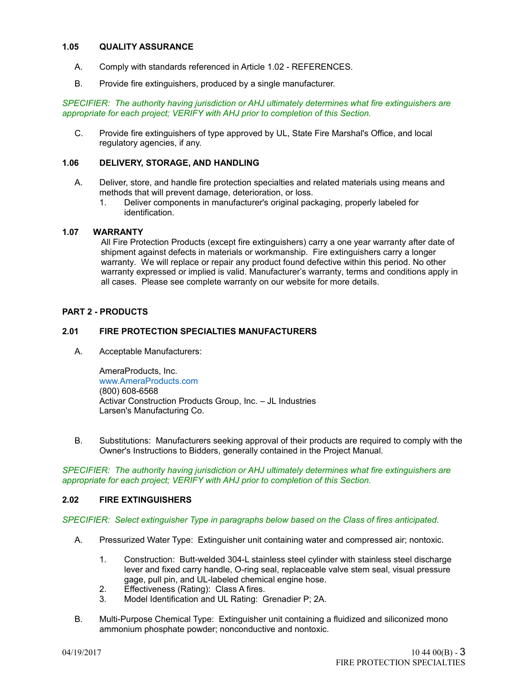## **1.05 QUALITY ASSURANCE**

- A. Comply with standards referenced in Article 1.02 REFERENCES.
- B. Provide fire extinguishers, produced by a single manufacturer.

*SPECIFIER: The authority having jurisdiction or AHJ ultimately determines what fire extinguishers are appropriate for each project; VERIFY with AHJ prior to completion of this Section.*

C. Provide fire extinguishers of type approved by UL, State Fire Marshal's Office, and local regulatory agencies, if any.

## **1.06 DELIVERY, STORAGE, AND HANDLING**

- A. Deliver, store, and handle fire protection specialties and related materials using means and methods that will prevent damage, deterioration, or loss.
	- 1. Deliver components in manufacturer's original packaging, properly labeled for identification.

### **1.07 WARRANTY**

All Fire Protection Products (except fire extinguishers) carry a one year warranty after date of shipment against defects in materials or workmanship. Fire extinguishers carry a longer warranty. We will replace or repair any product found defective within this period. No other warranty expressed or implied is valid. Manufacturer's warranty, terms and conditions apply in all cases. Please see complete warranty on our website for more details.

### **PART 2 - PRODUCTS**

### **2.01 FIRE PROTECTION SPECIALTIES MANUFACTURERS**

A. Acceptable Manufacturers:

AmeraProducts, Inc. [www.AmeraProducts.com](http://www.AmeraProducts.com/) (800) 608-6568 Activar Construction Products Group, Inc. – JL Industries Larsen's Manufacturing Co.

B. Substitutions: Manufacturers seeking approval of their products are required to comply with the Owner's Instructions to Bidders, generally contained in the Project Manual.

*SPECIFIER: The authority having jurisdiction or AHJ ultimately determines what fire extinguishers are appropriate for each project; VERIFY with AHJ prior to completion of this Section.*

### **2.02 FIRE EXTINGUISHERS**

*SPECIFIER: Select extinguisher Type in paragraphs below based on the Class of fires anticipated.*

- A. Pressurized Water Type: Extinguisher unit containing water and compressed air; nontoxic.
	- 1. Construction: Butt-welded 304-L stainless steel cylinder with stainless steel discharge lever and fixed carry handle, O-ring seal, replaceable valve stem seal, visual pressure gage, pull pin, and UL-labeled chemical engine hose.
	- 2. Effectiveness (Rating): Class A fires.
	- 3. Model Identification and UL Rating: Grenadier P; 2A.
- B. Multi-Purpose Chemical Type: Extinguisher unit containing a fluidized and siliconized mono ammonium phosphate powder; nonconductive and nontoxic.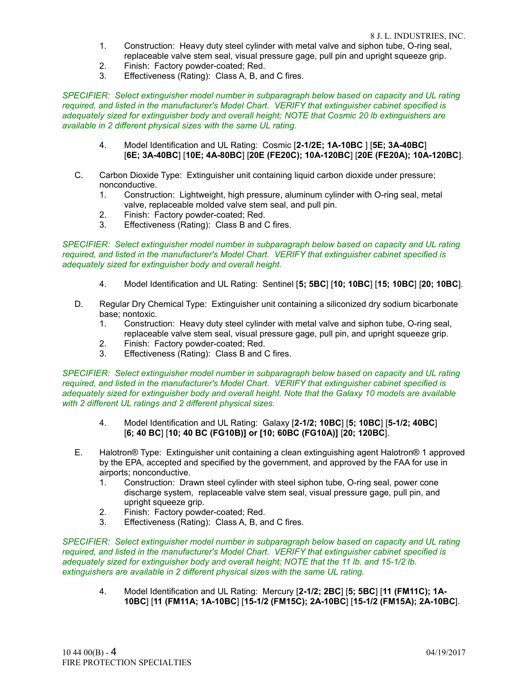- 1. Construction: Heavy duty steel cylinder with metal valve and siphon tube, O-ring seal, replaceable valve stem seal, visual pressure gage, pull pin and upright squeeze grip.
- 2. Finish: Factory powder-coated; Red.
- 3. Effectiveness (Rating): Class A, B, and C fires.

*SPECIFIER: Select extinguisher model number in subparagraph below based on capacity and UL rating required, and listed in the manufacturer's Model Chart. VERIFY that extinguisher cabinet specified is adequately sized for extinguisher body and overall height; NOTE that Cosmic 20 lb extinguishers are available in 2 different physical sizes with the same UL rating.*

- 4. Model Identification and UL Rating: Cosmic [**2-1/2E; 1A-10BC** ] [**5E; 3A-40BC**] [**6E; 3A-40BC**] [**10E; 4A-80BC**] [**20E (FE20C); 10A-120BC**] [**20E (FE20A); 10A-120BC**].
- C. Carbon Dioxide Type: Extinguisher unit containing liquid carbon dioxide under pressure; nonconductive.
	- 1. Construction: Lightweight, high pressure, aluminum cylinder with O-ring seal, metal valve, replaceable molded valve stem seal, and pull pin.
	- 2. Finish: Factory powder-coated; Red.
	- 3. Effectiveness (Rating): Class B and C fires.

#### *SPECIFIER: Select extinguisher model number in subparagraph below based on capacity and UL rating required, and listed in the manufacturer's Model Chart. VERIFY that extinguisher cabinet specified is adequately sized for extinguisher body and overall height.*

- 4. Model Identification and UL Rating: Sentinel [**5; 5BC**] [**10; 10BC**] [**15; 10BC**] [**20; 10BC**].
- D. Regular Dry Chemical Type: Extinguisher unit containing a siliconized dry sodium bicarbonate base; nontoxic.
	- 1. Construction: Heavy duty steel cylinder with metal valve and siphon tube, O-ring seal, replaceable valve stem seal, visual pressure gage, pull pin, and upright squeeze grip.
	- 2. Finish: Factory powder-coated; Red.
	- 3. Effectiveness (Rating): Class B and C fires.

*SPECIFIER: Select extinguisher model number in subparagraph below based on capacity and UL rating required, and listed in the manufacturer's Model Chart. VERIFY that extinguisher cabinet specified is adequately sized for extinguisher body and overall height. Note that the Galaxy 10 models are available with 2 different UL ratings and 2 different physical sizes.*

- 4. Model Identification and UL Rating: Galaxy [**2-1/2; 10BC**] [**5; 10BC**] [**5-1/2; 40BC**] [**6; 40 BC**] [**10; 40 BC (FG10B)] or [10; 60BC (FG10A)]** [**20; 120BC**].
- E. Halotron® Type: Extinguisher unit containing a clean extinguishing agent Halotron® 1 approved by the EPA, accepted and specified by the government, and approved by the FAA for use in airports; nonconductive.
	- 1. Construction: Drawn steel cylinder with steel siphon tube, O-ring seal, power cone discharge system, replaceable valve stem seal, visual pressure gage, pull pin, and upright squeeze grip.
	- 2. Finish: Factory powder-coated; Red.
	- 3. Effectiveness (Rating): Class A, B, and C fires.

*SPECIFIER: Select extinguisher model number in subparagraph below based on capacity and UL rating required, and listed in the manufacturer's Model Chart. VERIFY that extinguisher cabinet specified is adequately sized for extinguisher body and overall height; NOTE that the 11 lb. and 15-1/2 lb. extinguishers are available in 2 different physical sizes with the same UL rating.*

4. Model Identification and UL Rating: Mercury [**2-1/2; 2BC**] [**5; 5BC**] [**11 (FM11C); 1A-10BC**] [**11 (FM11A; 1A-10BC**] [**15-1/2 (FM15C); 2A-10BC**] [**15-1/2 (FM15A); 2A-10BC**].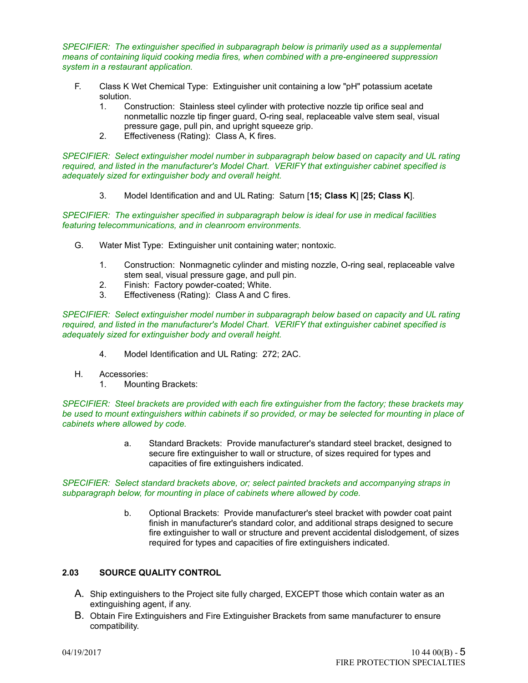*SPECIFIER: The extinguisher specified in subparagraph below is primarily used as a supplemental means of containing liquid cooking media fires, when combined with a pre-engineered suppression system in a restaurant application.*

- F. Class K Wet Chemical Type: Extinguisher unit containing a low "pH" potassium acetate solution.
	- 1. Construction: Stainless steel cylinder with protective nozzle tip orifice seal and nonmetallic nozzle tip finger guard, O-ring seal, replaceable valve stem seal, visual pressure gage, pull pin, and upright squeeze grip.
	- 2. Effectiveness (Rating): Class A, K fires.

*SPECIFIER: Select extinguisher model number in subparagraph below based on capacity and UL rating required, and listed in the manufacturer's Model Chart. VERIFY that extinguisher cabinet specified is adequately sized for extinguisher body and overall height.*

3. Model Identification and and UL Rating: Saturn [**15; Class K**] [**25; Class K**].

*SPECIFIER: The extinguisher specified in subparagraph below is ideal for use in medical facilities featuring telecommunications, and in cleanroom environments.*

- G. Water Mist Type: Extinguisher unit containing water; nontoxic.
	- 1. Construction: Nonmagnetic cylinder and misting nozzle, O-ring seal, replaceable valve stem seal, visual pressure gage, and pull pin.
	- 2. Finish: Factory powder-coated; White.
	- 3. Effectiveness (Rating): Class A and C fires.

*SPECIFIER: Select extinguisher model number in subparagraph below based on capacity and UL rating required, and listed in the manufacturer's Model Chart. VERIFY that extinguisher cabinet specified is adequately sized for extinguisher body and overall height.*

- 4. Model Identification and UL Rating: 272; 2AC.
- H. Accessories:
	- 1. Mounting Brackets:

*SPECIFIER: Steel brackets are provided with each fire extinguisher from the factory; these brackets may be used to mount extinguishers within cabinets if so provided, or may be selected for mounting in place of cabinets where allowed by code.*

> a. Standard Brackets: Provide manufacturer's standard steel bracket, designed to secure fire extinguisher to wall or structure, of sizes required for types and capacities of fire extinguishers indicated.

*SPECIFIER: Select standard brackets above, or; select painted brackets and accompanying straps in subparagraph below, for mounting in place of cabinets where allowed by code.*

> b. Optional Brackets: Provide manufacturer's steel bracket with powder coat paint finish in manufacturer's standard color, and additional straps designed to secure fire extinguisher to wall or structure and prevent accidental dislodgement, of sizes required for types and capacities of fire extinguishers indicated.

### **2.03 SOURCE QUALITY CONTROL**

- A. Ship extinguishers to the Project site fully charged, EXCEPT those which contain water as an extinguishing agent, if any.
- B. Obtain Fire Extinguishers and Fire Extinguisher Brackets from same manufacturer to ensure compatibility.